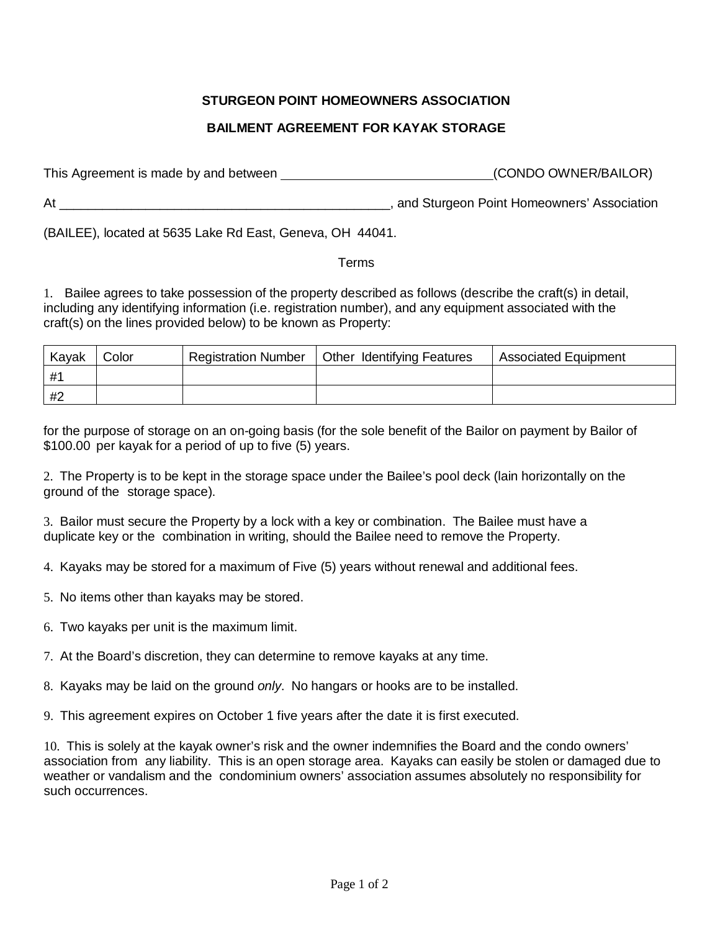## **STURGEON POINT HOMEOWNERS ASSOCIATION**

## **BAILMENT AGREEMENT FOR KAYAK STORAGE**

This Agreement is made by and between (CONDO OWNER/BAILOR)

At \_\_\_\_\_\_\_\_\_\_\_\_\_\_\_\_\_\_\_\_\_\_\_\_\_\_\_\_\_\_\_\_\_\_\_\_\_\_\_\_\_\_\_\_\_\_, and Sturgeon Point Homeowners' Association

(BAILEE), located at 5635 Lake Rd East, Geneva, OH 44041.

## Terms

1. Bailee agrees to take possession of the property described as follows (describe the craft(s) in detail, including any identifying information (i.e. registration number), and any equipment associated with the craft(s) on the lines provided below) to be known as Property:

| Kavak | Color | <b>Registration Number</b> | <b>Other Identifying Features</b> | <b>Associated Equipment</b> |
|-------|-------|----------------------------|-----------------------------------|-----------------------------|
| #1    |       |                            |                                   |                             |
| #2    |       |                            |                                   |                             |

for the purpose of storage on an on-going basis (for the sole benefit of the Bailor on payment by Bailor of \$100.00 per kayak for a period of up to five (5) years.

2. The Property is to be kept in the storage space under the Bailee's pool deck (lain horizontally on the ground of the storage space).

3. Bailor must secure the Property by a lock with a key or combination. The Bailee must have a duplicate key or the combination in writing, should the Bailee need to remove the Property.

- 4. Kayaks may be stored for a maximum of Five (5) years without renewal and additional fees.
- 5. No items other than kayaks may be stored.
- 6. Two kayaks per unit is the maximum limit.
- 7. At the Board's discretion, they can determine to remove kayaks at any time.
- 8. Kayaks may be laid on the ground *only*. No hangars or hooks are to be installed.
- 9. This agreement expires on October 1 five years after the date it is first executed.

10. This is solely at the kayak owner's risk and the owner indemnifies the Board and the condo owners' association from any liability. This is an open storage area. Kayaks can easily be stolen or damaged due to weather or vandalism and the condominium owners' association assumes absolutely no responsibility for such occurrences.